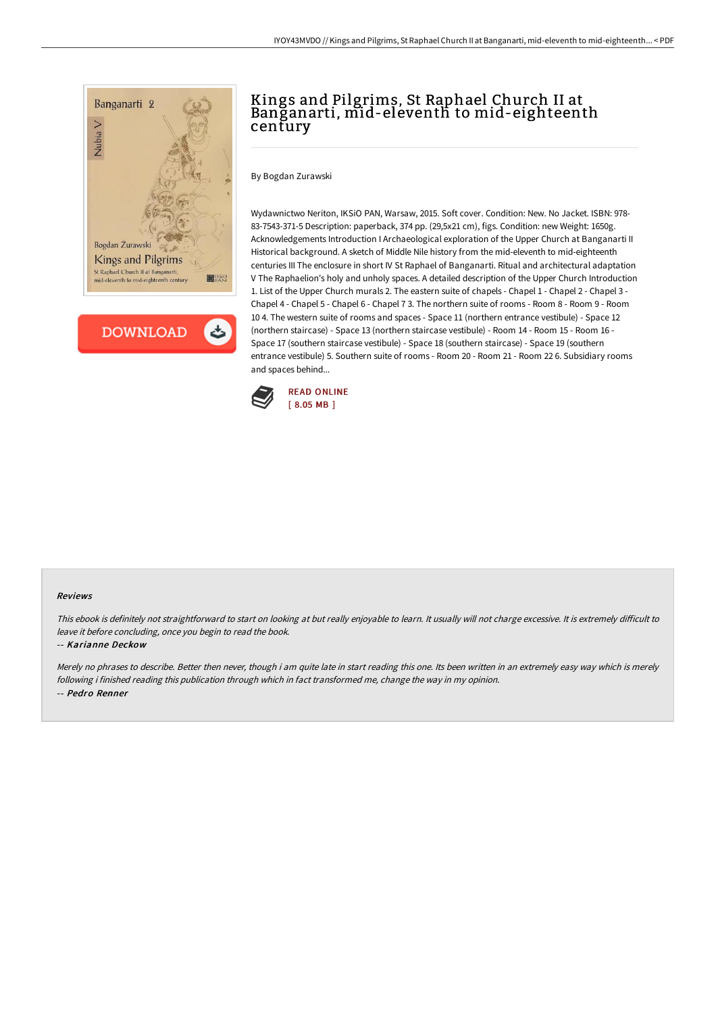

**DOWNLOAD** 

# Kings and Pilgrims, St Raphael Church II at Banganarti, mid-eleventh to mid-eighteenth century

By Bogdan Zurawski

Wydawnictwo Neriton, IKSiO PAN, Warsaw, 2015. Soft cover. Condition: New. No Jacket. ISBN: 978- 83-7543-371-5 Description: paperback, 374 pp. (29,5x21 cm), figs. Condition: new Weight: 1650g. Acknowledgements Introduction I Archaeological exploration of the Upper Church at Banganarti II Historical background. A sketch of Middle Nile history from the mid-eleventh to mid-eighteenth centuries III The enclosure in short IV St Raphael of Banganarti. Ritual and architectural adaptation V The Raphaelion's holy and unholy spaces. A detailed description of the Upper Church Introduction 1. List of the Upper Church murals 2. The eastern suite of chapels - Chapel 1 - Chapel 2 - Chapel 3 - Chapel 4 - Chapel 5 - Chapel 6 - Chapel 7 3. The northern suite of rooms - Room 8 - Room 9 - Room 10 4. The western suite of rooms and spaces - Space 11 (northern entrance vestibule) - Space 12 (northern staircase) - Space 13 (northern staircase vestibule) - Room 14 - Room 15 - Room 16 - Space 17 (southern staircase vestibule) - Space 18 (southern staircase) - Space 19 (southern entrance vestibule) 5. Southern suite of rooms - Room 20 - Room 21 - Room 22 6. Subsidiary rooms and spaces behind...



#### Reviews

This ebook is definitely not straightforward to start on looking at but really enjoyable to learn. It usually will not charge excessive. It is extremely difficult to leave it before concluding, once you begin to read the book.

#### -- Karianne Deckow

Merely no phrases to describe. Better then never, though i am quite late in start reading this one. Its been written in an extremely easy way which is merely following i finished reading this publication through which in fact transformed me, change the way in my opinion. -- Pedro Renner